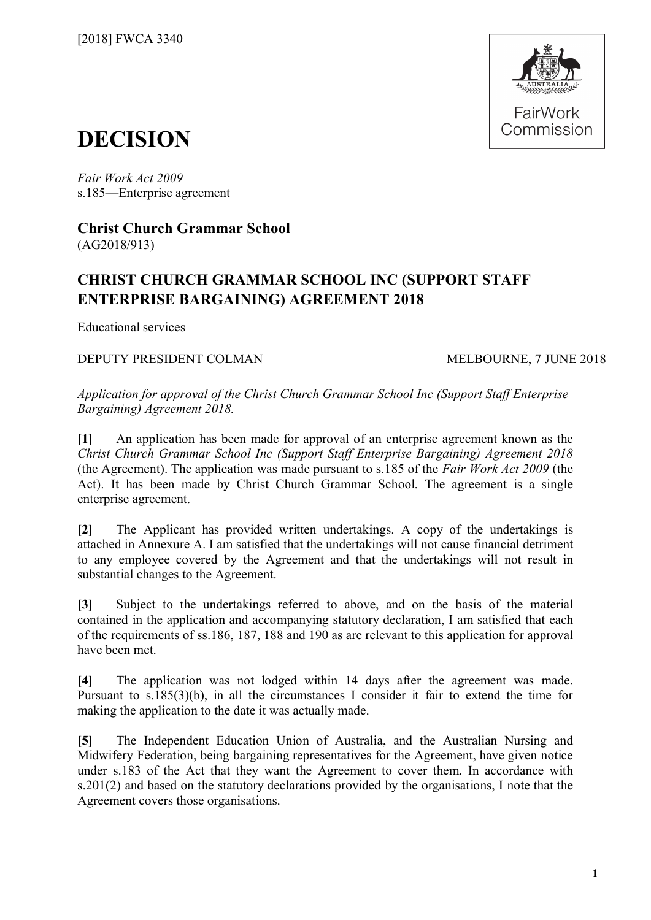

# **DECISION**

*Fair Work Act 2009*  s.185—Enterprise agreement

**Christ Church Grammar School** (AG2018/913)

# **CHRIST CHURCH GRAMMAR SCHOOL INC (SUPPORT STAFF ENTERPRISE BARGAINING) AGREEMENT 2018**

Educational services

DEPUTY PRESIDENT COLMAN MELBOURNE, 7 JUNE 2018

*Application for approval of the Christ Church Grammar School Inc (Support Staff Enterprise Bargaining) Agreement 2018.*

**[1]** An application has been made for approval of an enterprise agreement known as the *Christ Church Grammar School Inc (Support Staff Enterprise Bargaining) Agreement 2018* (the Agreement). The application was made pursuant to s.185 of the *Fair Work Act 2009* (the Act). It has been made by Christ Church Grammar School. The agreement is a single enterprise agreement.

**[2]** The Applicant has provided written undertakings. A copy of the undertakings is attached in Annexure A. I am satisfied that the undertakings will not cause financial detriment to any employee covered by the Agreement and that the undertakings will not result in substantial changes to the Agreement.

**[3]** Subject to the undertakings referred to above, and on the basis of the material contained in the application and accompanying statutory declaration, I am satisfied that each of the requirements of ss.186, 187, 188 and 190 as are relevant to this application for approval have been met.

**[4]** The application was not lodged within 14 days after the agreement was made. Pursuant to s.185(3)(b), in all the circumstances I consider it fair to extend the time for making the application to the date it was actually made.

**[5]** The Independent Education Union of Australia, and the Australian Nursing and Midwifery Federation, being bargaining representatives for the Agreement, have given notice under s.183 of the Act that they want the Agreement to cover them. In accordance with s.201(2) and based on the statutory declarations provided by the organisations, I note that the Agreement covers those organisations.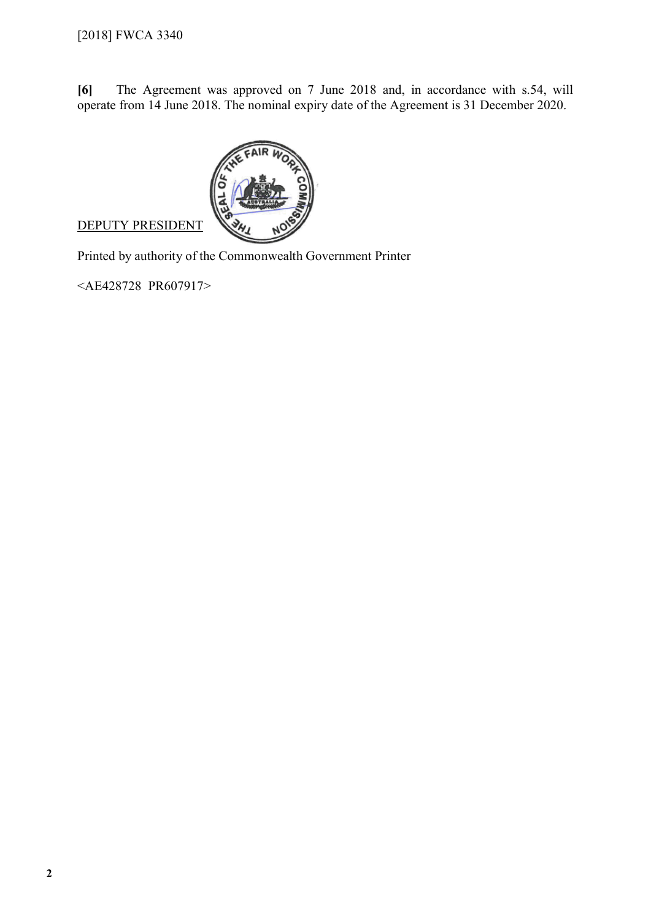**[6]** The Agreement was approved on 7 June 2018 and, in accordance with s.54, will operate from 14 June 2018. The nominal expiry date of the Agreement is 31 December 2020.



## DEPUTY PRESIDENT

Printed by authority of the Commonwealth Government Printer

<AE428728 PR607917>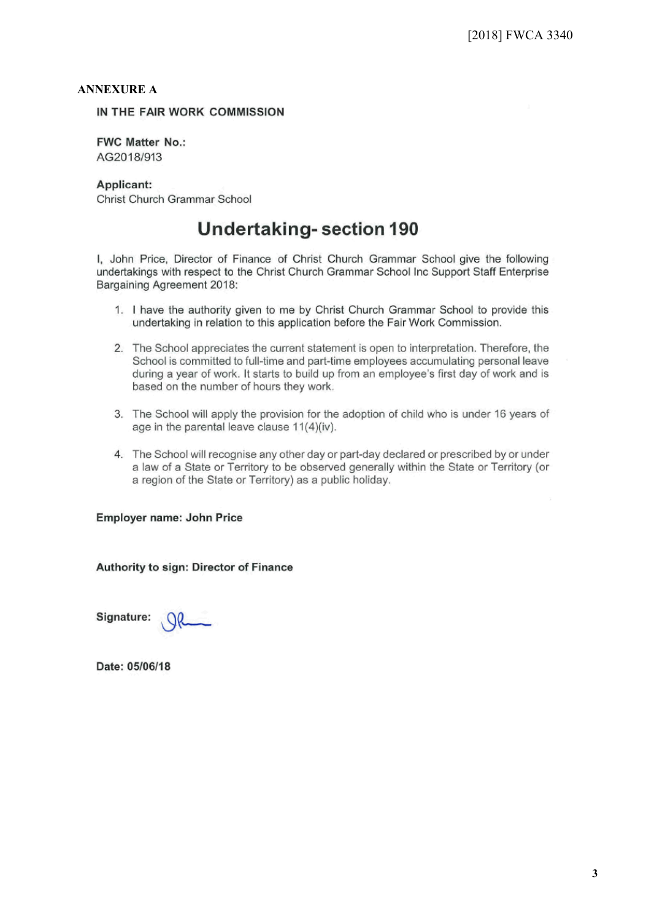### **ANNEXURE A**

IN THE FAIR WORK COMMISSION

**FWC Matter No.:** AG2018/913

Applicant:

Christ Church Grammar School

# **Undertaking-section 190**

I, John Price, Director of Finance of Christ Church Grammar School give the following undertakings with respect to the Christ Church Grammar School Inc Support Staff Enterprise Bargaining Agreement 2018:

- 1. I have the authority given to me by Christ Church Grammar School to provide this undertaking in relation to this application before the Fair Work Commission.
- 2. The School appreciates the current statement is open to interpretation. Therefore, the School is committed to full-time and part-time employees accumulating personal leave during a year of work. It starts to build up from an employee's first day of work and is based on the number of hours they work.
- 3. The School will apply the provision for the adoption of child who is under 16 years of age in the parental leave clause 11(4)(iv).
- 4. The School will recognise any other day or part-day declared or prescribed by or under a law of a State or Territory to be observed generally within the State or Territory (or a region of the State or Territory) as a public holiday.

**Employer name: John Price** 

Authority to sign: Director of Finance

Signature:

Date: 05/06/18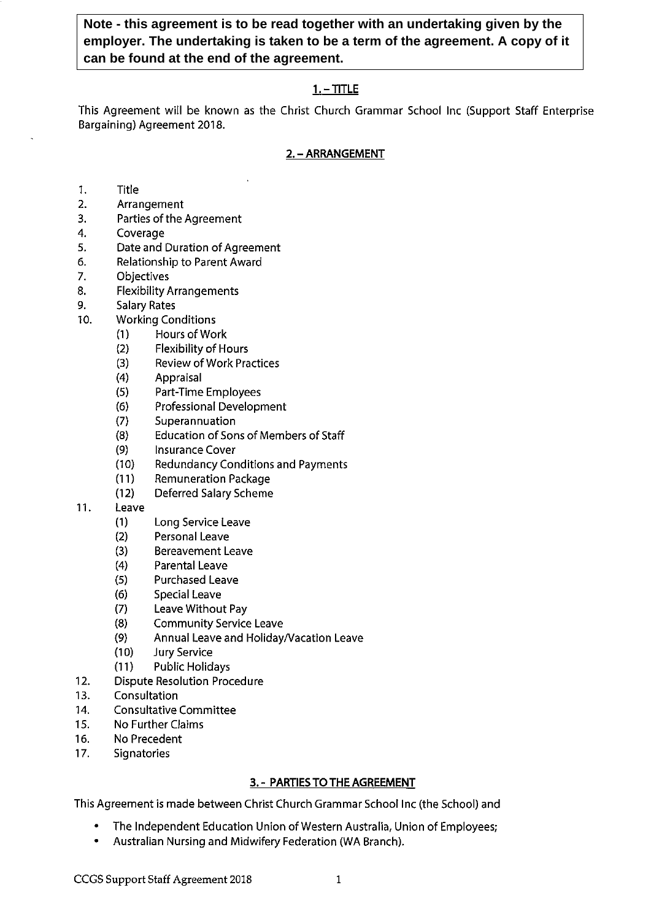Note - this agreement is to be read together with an undertaking given by the employer. The undertaking is taken to be a term of the agreement. A copy of it can be found at the end of the agreement.

### $1. - TITLE$

This Agreement will be known as the Christ Church Grammar School Inc (Support Staff Enterprise Bargaining) Agreement 2018.

### 2. - ARRANGEMENT

- $1.$ **Title**
- $2.$ Arrangement
- Parties of the Agreement  $3.$
- 4. Coverage
- Date and Duration of Agreement 5.
- Relationship to Parent Award 6.
- $7.$ Objectives
- 8. **Flexibility Arrangements**
- 9. **Salary Rates**
- $10.$ **Working Conditions** 
	- Hours of Work  $(1)$ 
		- $(2)$ **Flexibility of Hours**
		- $(3)$ **Review of Work Practices**
		- $(4)$ Appraisal
		- $(5)$ Part-Time Employees
		- $(6)$ Professional Development
		- $(7)$ Superannuation
		- $(8)$ **Education of Sons of Members of Staff**
		- $(9)$ **Insurance Cover**
	- **Redundancy Conditions and Payments**  $(10)$
	- **Remuneration Package**  $(11)$
	- $(12)$ **Deferred Salary Scheme**
- $11.$ Leave
	- $(1)$ Long Service Leave
	- $(2)$ Personal Leave
	- $(3)$ **Bereavement Leave**
	- $(4)$ **Parental Leave**
	- $(5)$ **Purchased Leave**
	- $(6)$ **Special Leave**
	- $(7)$ Leave Without Pay
	- $(8)$ **Community Service Leave**
	- Annual Leave and Holiday/Vacation Leave  $(9)$
	- $(10)$ **Jury Service**
	- $(11)$ **Public Holidays**
- $12.$ **Dispute Resolution Procedure**
- $13.$ Consultation
- **Consultative Committee**  $14.$
- $15.$ No Further Claims
- No Precedent 16.
- $17.$ Signatories

### 3. - PARTIES TO THE AGREEMENT

This Agreement is made between Christ Church Grammar School Inc (the School) and

- The Independent Education Union of Western Australia, Union of Employees;
- Australian Nursing and Midwifery Federation (WA Branch).  $\bullet$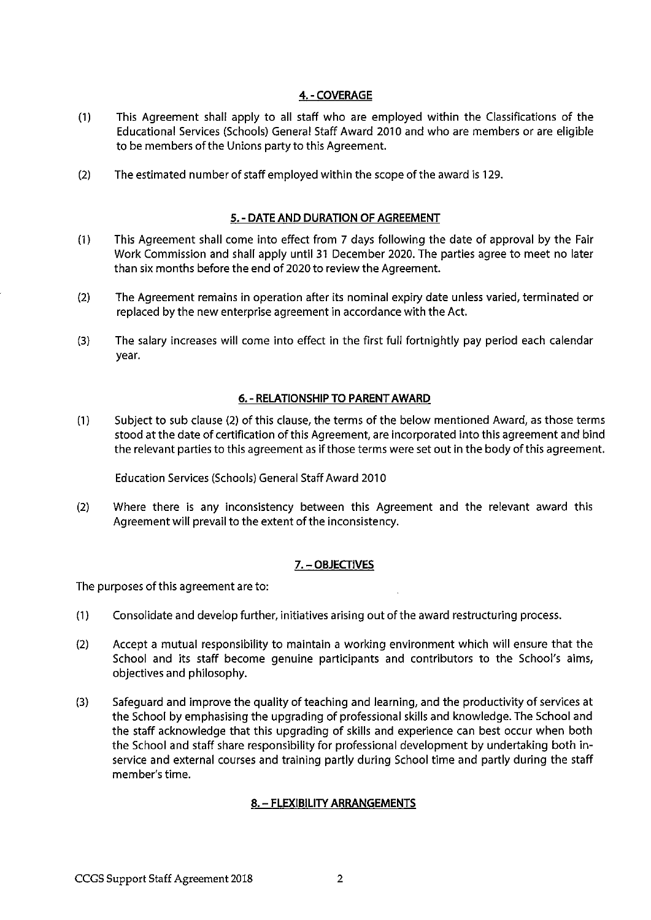### 4. - COVERAGE

- This Agreement shall apply to all staff who are employed within the Classifications of the  $(1)$ Educational Services (Schools) General Staff Award 2010 and who are members or are eligible to be members of the Unions party to this Agreement.
- $(2)$ The estimated number of staff employed within the scope of the award is 129.

### 5. - DATE AND DURATION OF AGREEMENT

- $(1)$ This Agreement shall come into effect from 7 days following the date of approval by the Fair Work Commission and shall apply until 31 December 2020. The parties agree to meet no later than six months before the end of 2020 to review the Agreement.
- $(2)$ The Agreement remains in operation after its nominal expiry date unless varied, terminated or replaced by the new enterprise agreement in accordance with the Act.
- $(3)$ The salary increases will come into effect in the first full fortnightly pay period each calendar year.

### 6. - RELATIONSHIP TO PARENT AWARD

 $(1)$ Subject to sub clause (2) of this clause, the terms of the below mentioned Award, as those terms stood at the date of certification of this Agreement, are incorporated into this agreement and bind the relevant parties to this agreement as if those terms were set out in the body of this agreement.

Education Services (Schools) General Staff Award 2010

 $(2)$ Where there is any inconsistency between this Agreement and the relevant award this Agreement will prevail to the extent of the inconsistency.

### 7. - OBJECTIVES

The purposes of this agreement are to:

- $(1)$ Consolidate and develop further, initiatives arising out of the award restructuring process.
- $(2)$ Accept a mutual responsibility to maintain a working environment which will ensure that the School and its staff become genuine participants and contributors to the School's aims, objectives and philosophy.
- $(3)$ Safequard and improve the quality of teaching and learning, and the productivity of services at the School by emphasising the upgrading of professional skills and knowledge. The School and the staff acknowledge that this upgrading of skills and experience can best occur when both the School and staff share responsibility for professional development by undertaking both inservice and external courses and training partly during School time and partly during the staff member's time.

### 8. - FLEXIBILITY ARRANGEMENTS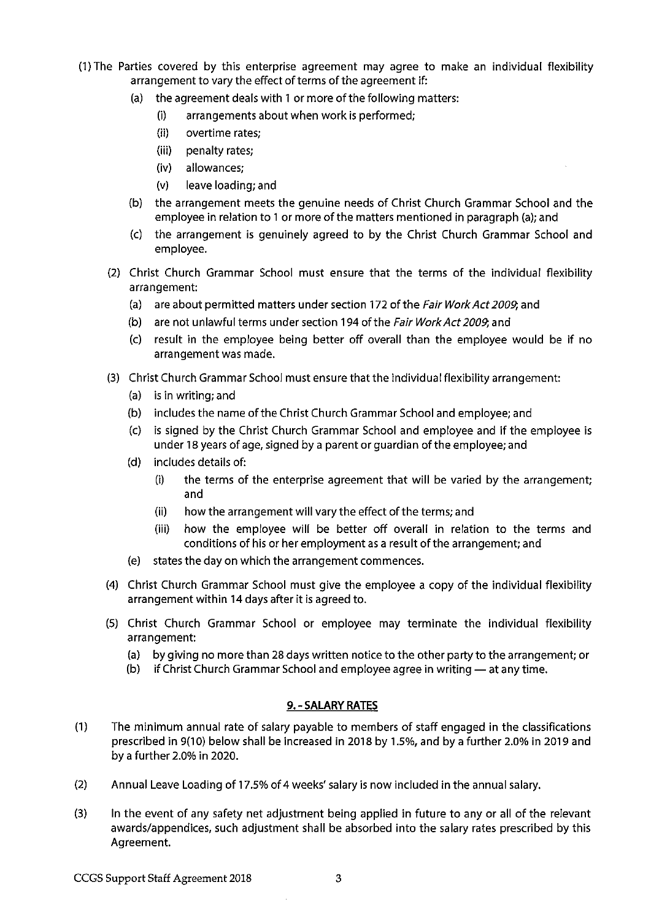- (1) The Parties covered by this enterprise agreement may agree to make an individual flexibility arrangement to vary the effect of terms of the agreement if:
	- $(a)$ the agreement deals with 1 or more of the following matters:
		- arrangements about when work is performed;  $(i)$
		- $(ii)$ overtime rates:
		- (iii) penalty rates;
		- (iv) allowances;
		- $(v)$ leave loading; and
	- the arrangement meets the genuine needs of Christ Church Grammar School and the  $(b)$ employee in relation to 1 or more of the matters mentioned in paragraph (a); and
	- the arrangement is genuinely agreed to by the Christ Church Grammar School and  $(c)$ employee.
	- (2) Christ Church Grammar School must ensure that the terms of the individual flexibility arrangement:
		- (a) are about permitted matters under section 172 of the Fair Work Act 2009, and
		- (b) are not unlawful terms under section 194 of the Fair Work Act 2009, and
		- (c) result in the employee being better off overall than the employee would be if no arrangement was made.
	- (3) Christ Church Grammar School must ensure that the individual flexibility arrangement:
		- (a) is in writing; and
		- (b) includes the name of the Christ Church Grammar School and employee; and
		- (c) is signed by the Christ Church Grammar School and employee and if the employee is under 18 years of age, signed by a parent or guardian of the employee; and
		- includes details of:  $(d)$ 
			- $(i)$ the terms of the enterprise agreement that will be varied by the arrangement; and
			- $(ii)$ how the arrangement will vary the effect of the terms; and
			- $(iii)$ how the employee will be better off overall in relation to the terms and conditions of his or her employment as a result of the arrangement; and
		- states the day on which the arrangement commences. (e)
	- (4) Christ Church Grammar School must give the employee a copy of the individual flexibility arrangement within 14 days after it is agreed to.
	- (5) Christ Church Grammar School or employee may terminate the individual flexibility arrangement:
		- (a) by giving no more than 28 days written notice to the other party to the arrangement; or
		- (b) if Christ Church Grammar School and employee agree in writing at any time.

### 9. - SALARY RATES

- $(1)$ The minimum annual rate of salary payable to members of staff engaged in the classifications prescribed in 9(10) below shall be increased in 2018 by 1.5%, and by a further 2.0% in 2019 and by a further 2.0% in 2020.
- $(2)$ Annual Leave Loading of 17.5% of 4 weeks' salary is now included in the annual salary.
- $(3)$ In the event of any safety net adjustment being applied in future to any or all of the relevant awards/appendices, such adjustment shall be absorbed into the salary rates prescribed by this Agreement.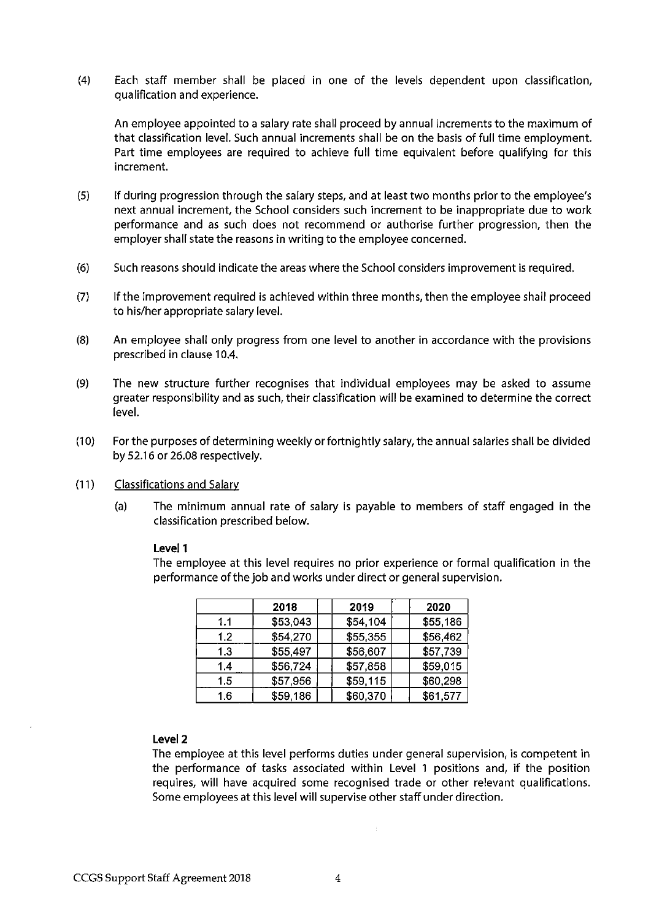$(4)$ Each staff member shall be placed in one of the levels dependent upon classification, qualification and experience.

An employee appointed to a salary rate shall proceed by annual increments to the maximum of that classification level. Such annual increments shall be on the basis of full time employment. Part time employees are required to achieve full time equivalent before qualifying for this increment.

- $(5)$ If during progression through the salary steps, and at least two months prior to the employee's next annual increment, the School considers such increment to be inappropriate due to work performance and as such does not recommend or authorise further progression, then the employer shall state the reasons in writing to the employee concerned.
- $(6)$ Such reasons should indicate the areas where the School considers improvement is required.
- $(7)$ If the improvement required is achieved within three months, then the employee shall proceed to his/her appropriate salary level.
- $(8)$ An employee shall only progress from one level to another in accordance with the provisions prescribed in clause 10.4.
- $(9)$ The new structure further recognises that individual employees may be asked to assume greater responsibility and as such, their classification will be examined to determine the correct level.
- $(10)$ For the purposes of determining weekly or fortnightly salary, the annual salaries shall be divided by 52.16 or 26.08 respectively.
- $(11)$ **Classifications and Salary** 
	- $(a)$ The minimum annual rate of salary is payable to members of staff engaged in the classification prescribed below.

### Level 1

The employee at this level requires no prior experience or formal qualification in the performance of the job and works under direct or general supervision.

|     | 2018     | 2019     | 2020     |
|-----|----------|----------|----------|
| 1.1 | \$53,043 | \$54,104 | \$55,186 |
| 1.2 | \$54,270 | \$55,355 | \$56,462 |
| 1.3 | \$55,497 | \$56,607 | \$57,739 |
| 1.4 | \$56,724 | \$57,858 | \$59,015 |
| 1.5 | \$57,956 | \$59,115 | \$60,298 |
| 1.6 | \$59,186 | \$60,370 | \$61,577 |

### Level 2

The employee at this level performs duties under general supervision, is competent in the performance of tasks associated within Level 1 positions and, if the position requires, will have acquired some recognised trade or other relevant qualifications. Some employees at this level will supervise other staff under direction.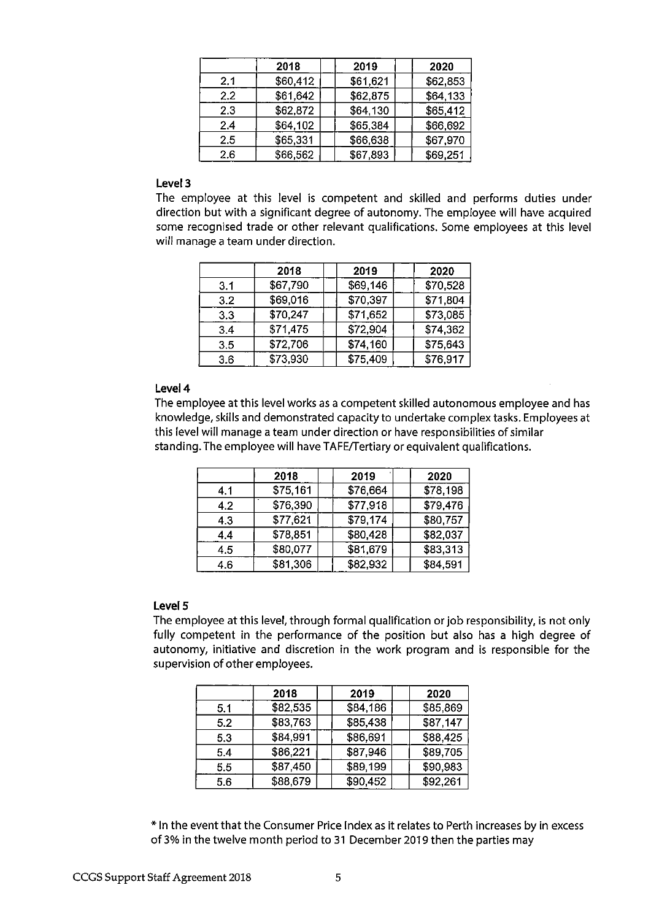|     | 2018     | 2019     | 2020     |
|-----|----------|----------|----------|
| 2.1 | \$60,412 | \$61,621 | \$62,853 |
| 2.2 | \$61,642 | \$62,875 | \$64,133 |
| 2.3 | \$62,872 | \$64,130 | \$65,412 |
| 2.4 | \$64,102 | \$65,384 | \$66,692 |
| 2.5 | \$65,331 | \$66,638 | \$67,970 |
| 2.6 | \$66,562 | \$67,893 | \$69,251 |

### Level 3

The employee at this level is competent and skilled and performs duties under direction but with a significant degree of autonomy. The employee will have acquired some recognised trade or other relevant qualifications. Some employees at this level will manage a team under direction.

|     | 2018     | 2019     | 2020     |
|-----|----------|----------|----------|
| 3.1 | \$67,790 | \$69,146 | \$70,528 |
| 3.2 | \$69,016 | \$70,397 | \$71,804 |
| 3.3 | \$70,247 | \$71,652 | \$73,085 |
| 3.4 | \$71,475 | \$72,904 | \$74,362 |
| 3.5 | \$72,706 | \$74,160 | \$75,643 |
| 3.6 | \$73,930 | \$75,409 | \$76,917 |

### Level 4

The employee at this level works as a competent skilled autonomous employee and has knowledge, skills and demonstrated capacity to undertake complex tasks. Employees at this level will manage a team under direction or have responsibilities of similar standing. The employee will have TAFE/Tertiary or equivalent qualifications.

|     | 2018     | 2019     | 2020     |
|-----|----------|----------|----------|
| 4.1 | \$75,161 | \$76,664 | \$78.198 |
| 4.2 | \$76,390 | \$77,918 | \$79,476 |
| 4.3 | \$77,621 | \$79,174 | \$80,757 |
| 4.4 | \$78,851 | \$80,428 | \$82,037 |
| 4.5 | \$80,077 | \$81,679 | \$83,313 |
| 4.6 | \$81,306 | \$82,932 | \$84,591 |

### Level 5

The employee at this level, through formal qualification or job responsibility, is not only fully competent in the performance of the position but also has a high degree of autonomy, initiative and discretion in the work program and is responsible for the supervision of other employees.

|     | 2018     | 2019     | 2020     |
|-----|----------|----------|----------|
| 5.1 | \$82,535 | \$84,186 | \$85,869 |
| 5.2 | \$83,763 | \$85,438 | \$87,147 |
| 5.3 | \$84,991 | \$86,691 | \$88,425 |
| 5.4 | \$86,221 | \$87,946 | \$89,705 |
| 5.5 | \$87,450 | \$89,199 | \$90,983 |
| 5.6 | \$88,679 | \$90,452 | \$92,261 |

\* In the event that the Consumer Price Index as it relates to Perth increases by in excess of 3% in the twelve month period to 31 December 2019 then the parties may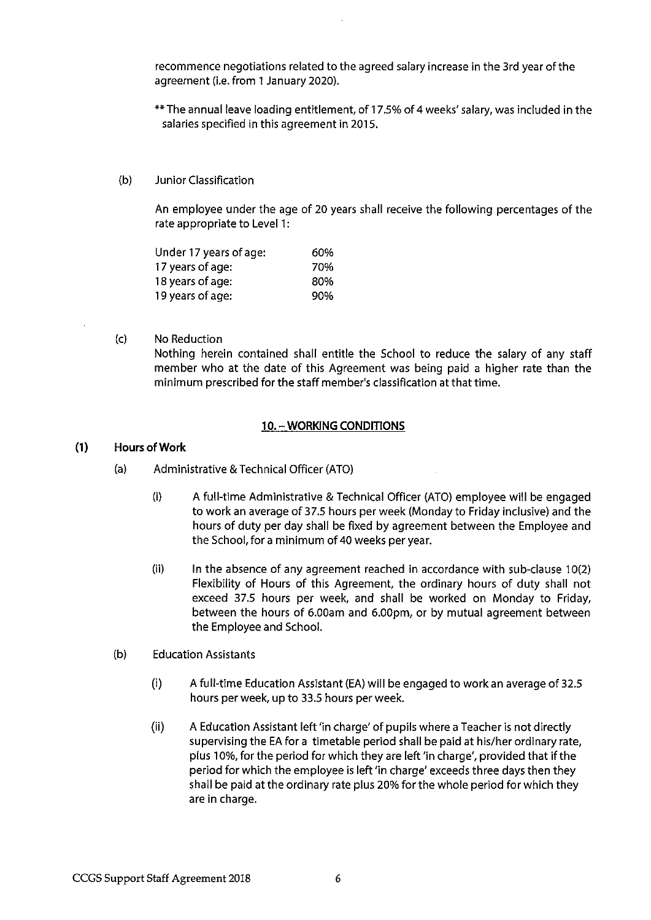recommence negotiations related to the agreed salary increase in the 3rd year of the agreement (i.e. from 1 January 2020).

- \*\* The annual leave loading entitlement, of 17.5% of 4 weeks' salary, was included in the salaries specified in this agreement in 2015.
- $(b)$ Junior Classification

An employee under the age of 20 years shall receive the following percentages of the rate appropriate to Level 1:

| Under 17 years of age: | 60% |
|------------------------|-----|
| 17 years of age:       | 70% |
| 18 years of age:       | 80% |
| 19 years of age:       | 90% |

 $(c)$ No Reduction Nothing herein contained shall entitle the School to reduce the salary of any staff member who at the date of this Agreement was being paid a higher rate than the minimum prescribed for the staff member's classification at that time.

### 10. - WORKING CONDITIONS

#### $(1)$ **Hours of Work**

- $(a)$ Administrative & Technical Officer (ATO)
	- $(i)$ A full-time Administrative & Technical Officer (ATO) employee will be engaged to work an average of 37.5 hours per week (Monday to Friday inclusive) and the hours of duty per day shall be fixed by agreement between the Employee and the School, for a minimum of 40 weeks per year.
	- $(ii)$ In the absence of any agreement reached in accordance with sub-clause 10(2) Flexibility of Hours of this Agreement, the ordinary hours of duty shall not exceed 37.5 hours per week, and shall be worked on Monday to Friday, between the hours of 6.00am and 6.00pm, or by mutual agreement between the Employee and School.
- $(b)$ **Education Assistants** 
	- $(i)$ A full-time Education Assistant (EA) will be engaged to work an average of 32.5 hours per week, up to 33.5 hours per week.
	- $(ii)$ A Education Assistant left 'in charge' of pupils where a Teacher is not directly supervising the EA for a timetable period shall be paid at his/her ordinary rate, plus 10%, for the period for which they are left 'in charge', provided that if the period for which the employee is left 'in charge' exceeds three days then they shall be paid at the ordinary rate plus 20% for the whole period for which they are in charge.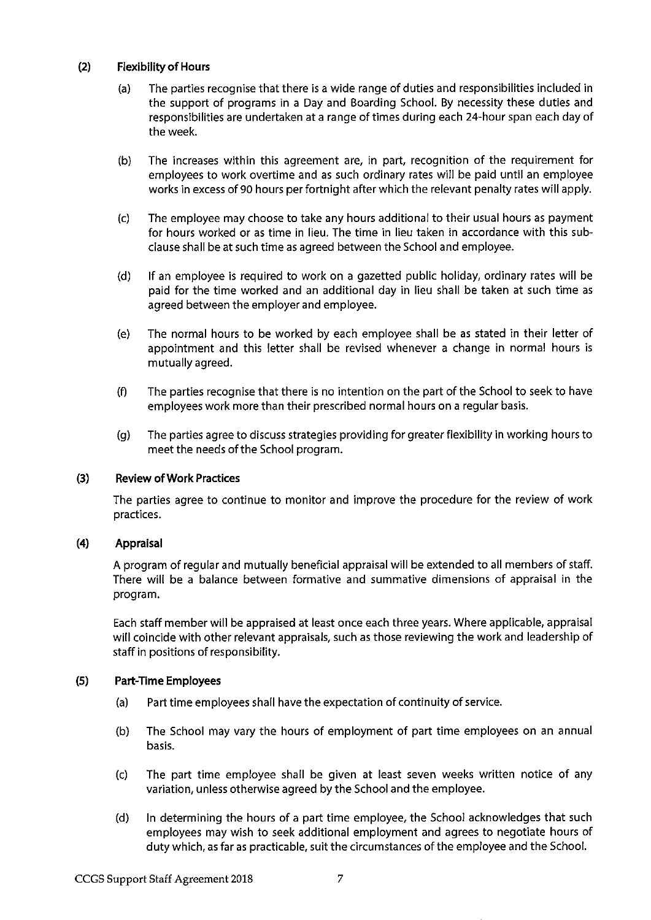#### $(2)$ **Flexibility of Hours**

- The parties recognise that there is a wide range of duties and responsibilities included in  $(a)$ the support of programs in a Day and Boarding School. By necessity these duties and responsibilities are undertaken at a range of times during each 24-hour span each day of the week.
- The increases within this agreement are, in part, recognition of the requirement for  $(b)$ employees to work overtime and as such ordinary rates will be paid until an employee works in excess of 90 hours per fortnight after which the relevant penalty rates will apply.
- The employee may choose to take any hours additional to their usual hours as payment  $(c)$ for hours worked or as time in lieu. The time in lieu taken in accordance with this subclause shall be at such time as agreed between the School and employee.
- $(d)$ If an employee is required to work on a gazetted public holiday, ordinary rates will be paid for the time worked and an additional day in lieu shall be taken at such time as agreed between the employer and employee.
- The normal hours to be worked by each employee shall be as stated in their letter of  $(e)$ appointment and this letter shall be revised whenever a change in normal hours is mutually agreed.
- The parties recognise that there is no intention on the part of the School to seek to have  $(f)$ employees work more than their prescribed normal hours on a regular basis.
- The parties agree to discuss strategies providing for greater flexibility in working hours to  $(q)$ meet the needs of the School program.

#### $(3)$ **Review of Work Practices**

The parties agree to continue to monitor and improve the procedure for the review of work practices.

#### $(4)$ Appraisal

A program of regular and mutually beneficial appraisal will be extended to all members of staff. There will be a balance between formative and summative dimensions of appraisal in the program.

Each staff member will be appraised at least once each three years. Where applicable, appraisal will coincide with other relevant appraisals, such as those reviewing the work and leadership of staff in positions of responsibility.

#### $(5)$ **Part-Time Employees**

- Part time employees shall have the expectation of continuity of service.  $(a)$
- The School may vary the hours of employment of part time employees on an annual  $(b)$ basis.
- $(c)$ The part time employee shall be given at least seven weeks written notice of any variation, unless otherwise agreed by the School and the employee.
- In determining the hours of a part time employee, the School acknowledges that such  $(d)$ employees may wish to seek additional employment and agrees to negotiate hours of duty which, as far as practicable, suit the circumstances of the employee and the School.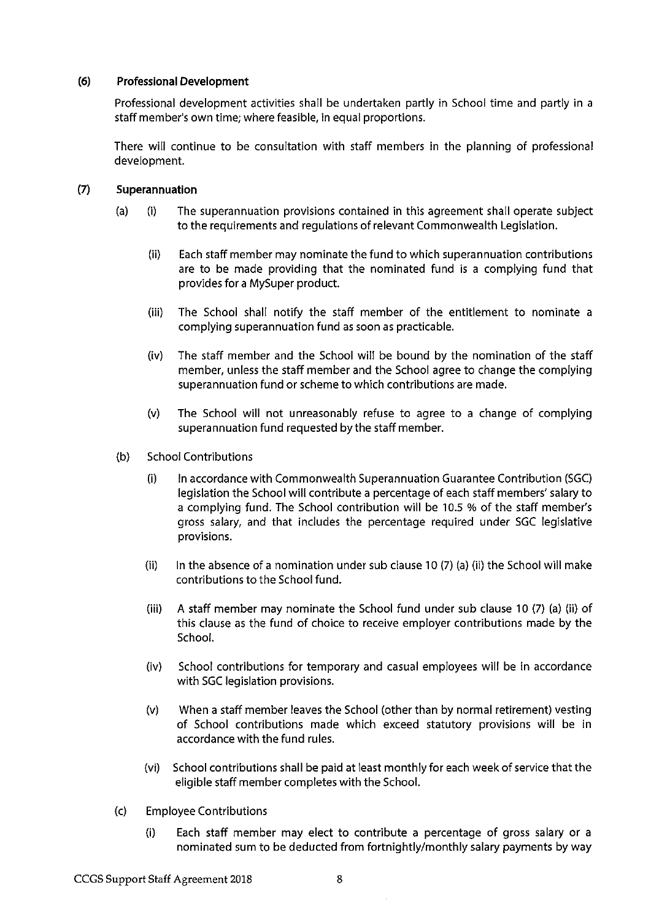#### $(6)$ **Professional Development**

Professional development activities shall be undertaken partly in School time and partly in a staff member's own time; where feasible, in equal proportions.

There will continue to be consultation with staff members in the planning of professional development.

#### $(7)$ Superannuation

- $(a)$  $(i)$ The superannuation provisions contained in this agreement shall operate subject to the requirements and requiations of relevant Commonwealth Legislation.
	- $(ii)$ Each staff member may nominate the fund to which superannuation contributions are to be made providing that the nominated fund is a complying fund that provides for a MySuper product.
	- $(iii)$ The School shall notify the staff member of the entitlement to nominate a complying superannuation fund as soon as practicable.
	- The staff member and the School will be bound by the nomination of the staff  $(iv)$ member, unless the staff member and the School agree to change the complying superannuation fund or scheme to which contributions are made.
	- $(v)$ The School will not unreasonably refuse to agree to a change of complying superannuation fund requested by the staff member.
- **School Contributions**  $(b)$ 
	- $(i)$ In accordance with Commonwealth Superannuation Guarantee Contribution (SGC) legislation the School will contribute a percentage of each staff members' salary to a complying fund. The School contribution will be 10.5 % of the staff member's gross salary, and that includes the percentage reguired under SGC legislative provisions.
	- $(ii)$ In the absence of a nomination under sub clause 10  $(7)$  (a) (ii) the School will make contributions to the School fund.
	- A staff member may nominate the School fund under sub clause 10 (7) (a) (ii) of  $(iii)$ this clause as the fund of choice to receive employer contributions made by the School.
	- $(iv)$ School contributions for temporary and casual employees will be in accordance with SGC legislation provisions.
	- When a staff member leaves the School (other than by normal retirement) vesting  $(v)$ of School contributions made which exceed statutory provisions will be in accordance with the fund rules.
	- $(vi)$ School contributions shall be paid at least monthly for each week of service that the eligible staff member completes with the School.
- $(c)$ **Employee Contributions** 
	- Each staff member may elect to contribute a percentage of gross salary or a  $(i)$ nominated sum to be deducted from fortnightly/monthly salary payments by way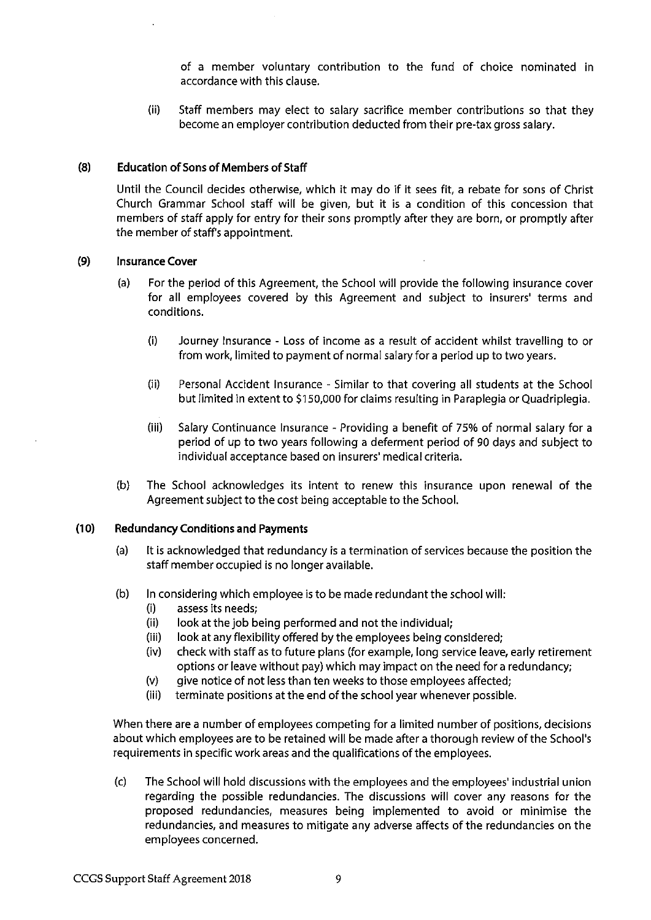of a member voluntary contribution to the fund of choice nominated in accordance with this clause.

 $(ii)$ Staff members may elect to salary sacrifice member contributions so that they become an employer contribution deducted from their pre-tax gross salary.

#### $(8)$ **Education of Sons of Members of Staff**

Until the Council decides otherwise, which it may do if it sees fit, a rebate for sons of Christ Church Grammar School staff will be given, but it is a condition of this concession that members of staff apply for entry for their sons promptly after they are born, or promptly after the member of staff's appointment.

#### $(9)$ **Insurance Cover**

- For the period of this Agreement, the School will provide the following insurance cover  $(a)$ for all employees covered by this Agreement and subject to insurers' terms and conditions.
	- $(i)$ Journey Insurance - Loss of income as a result of accident whilst travelling to or from work, limited to payment of normal salary for a period up to two years.
	- $(ii)$ Personal Accident Insurance - Similar to that covering all students at the School but limited in extent to \$150,000 for claims resulting in Paraplegia or Quadriplegia.
	- Salary Continuance Insurance Providing a benefit of 75% of normal salary for a  $(iii)$ period of up to two years following a deferment period of 90 days and subject to individual acceptance based on insurers' medical criteria.
- $(b)$ The School acknowledges its intent to renew this insurance upon renewal of the Agreement subject to the cost being acceptable to the School.

#### $(10)$ **Redundancy Conditions and Payments**

- $(a)$ It is acknowledged that redundancy is a termination of services because the position the staff member occupied is no longer available.
- $(b)$ In considering which employee is to be made redundant the school will:
	- assess its needs;  $(i)$
	- $(ii)$ look at the job being performed and not the individual;
	- $(iii)$ look at any flexibility offered by the employees being considered;
	- $(iv)$ check with staff as to future plans (for example, long service leave, early retirement options or leave without pay) which may impact on the need for a redundancy;
	- give notice of not less than ten weeks to those employees affected;  $(v)$
	- terminate positions at the end of the school year whenever possible.  $(iii)$

When there are a number of employees competing for a limited number of positions, decisions about which employees are to be retained will be made after a thorough review of the School's requirements in specific work areas and the qualifications of the employees.

 $(c)$ The School will hold discussions with the employees and the employees' industrial union regarding the possible redundancies. The discussions will cover any reasons for the proposed redundancies, measures being implemented to avoid or minimise the redundancies, and measures to mitigate any adverse affects of the redundancies on the employees concerned.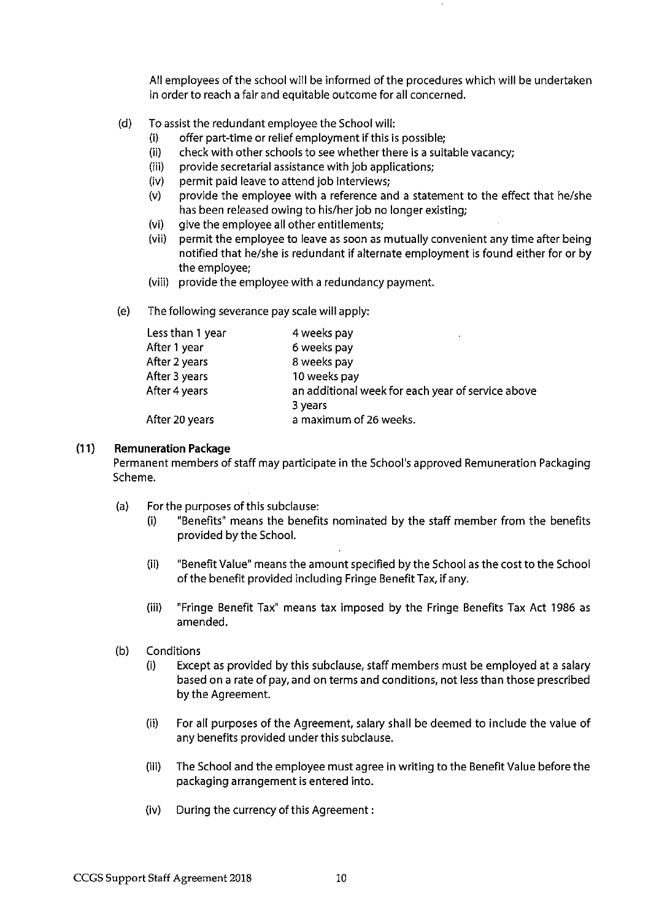All employees of the school will be informed of the procedures which will be undertaken in order to reach a fair and equitable outcome for all concerned.

- $(d)$ To assist the redundant employee the School will:
	- $(i)$ offer part-time or relief employment if this is possible;
	- $(ii)$ check with other schools to see whether there is a suitable vacancy;
	- provide secretarial assistance with job applications;  $(iii)$
	- permit paid leave to attend job interviews;  $(iv)$
	- provide the employee with a reference and a statement to the effect that he/she  $(v)$ has been released owing to his/her job no longer existing;
	- $(vi)$ give the employee all other entitlements;
	- $(vii)$ permit the employee to leave as soon as mutually convenient any time after being notified that he/she is redundant if alternate employment is found either for or by the employee:
	- (viii) provide the employee with a redundancy payment.
- $(e)$ The following severance pay scale will apply:

| Less than 1 year | 4 weeks pay                                       |
|------------------|---------------------------------------------------|
| After 1 year     | 6 weeks pay                                       |
| After 2 years    | 8 weeks pay                                       |
| After 3 years    | 10 weeks pay                                      |
| After 4 years    | an additional week for each year of service above |
|                  | 3 years                                           |
| After 20 years   | a maximum of 26 weeks.                            |

#### $(11)$ **Remuneration Package**

Permanent members of staff may participate in the School's approved Remuneration Packaging Scheme.

- $(a)$ For the purposes of this subclause:
	- "Benefits" means the benefits nominated by the staff member from the benefits  $(i)$ provided by the School.
	- $(ii)$ "Benefit Value" means the amount specified by the School as the cost to the School of the benefit provided including Fringe Benefit Tax, if any.
	- $(iii)$ "Fringe Benefit Tax" means tax imposed by the Fringe Benefits Tax Act 1986 as amended.
- $(b)$ Conditions
	- Except as provided by this subclause, staff members must be employed at a salary  $(i)$ based on a rate of pay, and on terms and conditions, not less than those prescribed by the Agreement.
	- $(ii)$ For all purposes of the Agreement, salary shall be deemed to include the value of any benefits provided under this subclause.
	- $(iii)$ The School and the employee must agree in writing to the Benefit Value before the packaging arrangement is entered into.
	- During the currency of this Agreement:  $(iv)$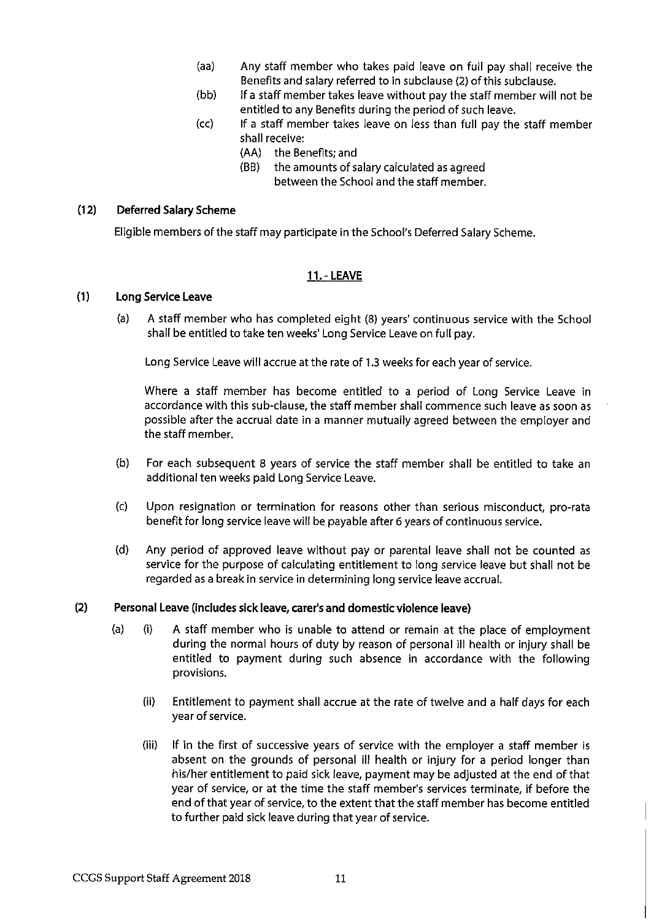- $(aa)$ Any staff member who takes paid leave on full pay shall receive the Benefits and salary referred to in subclause (2) of this subclause.
- If a staff member takes leave without pay the staff member will not be  $(bb)$ entitled to any Benefits during the period of such leave.
- $(cc)$ If a staff member takes leave on less than full pay the staff member shall receive:
	- (AA) the Benefits; and
	- (BB) the amounts of salary calculated as agreed between the School and the staff member.

#### $(12)$ **Deferred Salary Scheme**

Eligible members of the staff may participate in the School's Deferred Salary Scheme.

### **11. - LEAVE**

#### $(1)$ **Long Service Leave**

A staff member who has completed eight (8) years' continuous service with the School  $(a)$ shall be entitled to take ten weeks' Long Service Leave on full pay.

Long Service Leave will accrue at the rate of 1.3 weeks for each year of service.

Where a staff member has become entitled to a period of Long Service Leave in accordance with this sub-clause, the staff member shall commence such leave as soon as possible after the accrual date in a manner mutually agreed between the employer and the staff member.

- $(b)$ For each subsequent 8 years of service the staff member shall be entitled to take an additional ten weeks paid Long Service Leave.
- $(c)$ Upon resignation or termination for reasons other than serious misconduct, pro-rata benefit for long service leave will be payable after 6 years of continuous service.
- $(d)$ Any period of approved leave without pay or parental leave shall not be counted as service for the purpose of calculating entitlement to long service leave but shall not be regarded as a break in service in determining long service leave accrual.

#### $(2)$ Personal Leave (includes sick leave, carer's and domestic violence leave)

- $(a)$  $(i)$ A staff member who is unable to attend or remain at the place of employment during the normal hours of duty by reason of personal ill health or injury shall be entitled to payment during such absence in accordance with the following provisions.
	- $(ii)$ Entitlement to payment shall accrue at the rate of twelve and a half days for each year of service.
	- $(iii)$ If in the first of successive years of service with the employer a staff member is absent on the grounds of personal ill health or injury for a period longer than his/her entitlement to paid sick leave, payment may be adjusted at the end of that year of service, or at the time the staff member's services terminate, if before the end of that year of service, to the extent that the staff member has become entitled to further paid sick leave during that year of service.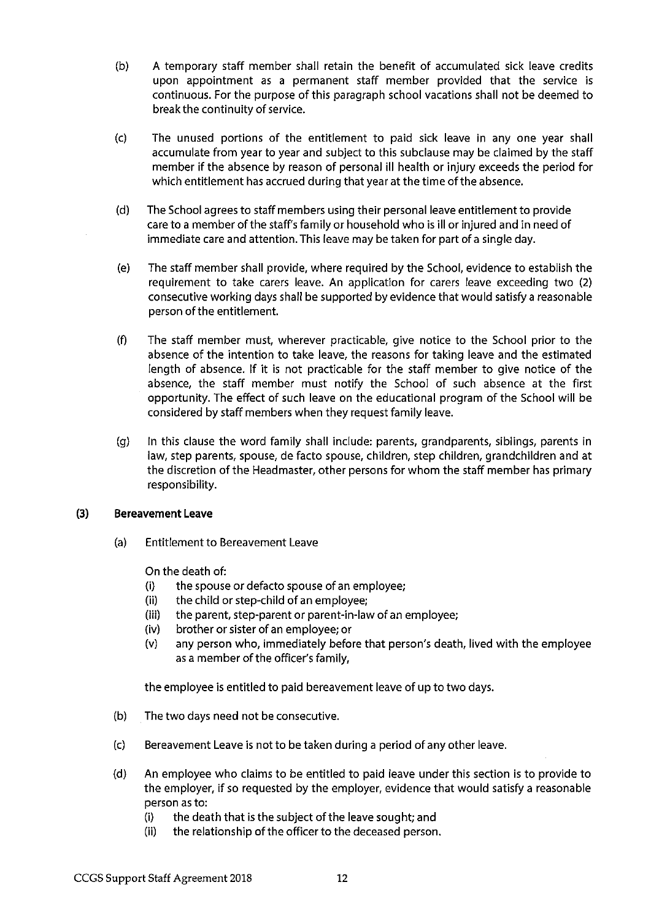- $(b)$ A temporary staff member shall retain the benefit of accumulated sick leave credits upon appointment as a permanent staff member provided that the service is continuous. For the purpose of this paragraph school vacations shall not be deemed to break the continuity of service.
- The unused portions of the entitlement to paid sick leave in any one year shall  $(c)$ accumulate from year to year and subject to this subclause may be claimed by the staff member if the absence by reason of personal ill health or injury exceeds the period for which entitlement has accrued during that year at the time of the absence.
- $(d)$ The School agrees to staff members using their personal leave entitlement to provide care to a member of the staff's family or household who is ill or injured and in need of immediate care and attention. This leave may be taken for part of a single day.
- The staff member shall provide, where required by the School, evidence to establish the  $(e)$ requirement to take carers leave. An application for carers leave exceeding two (2) consecutive working days shall be supported by evidence that would satisfy a reasonable person of the entitlement.
- $(f)$ The staff member must, wherever practicable, give notice to the School prior to the absence of the intention to take leave, the reasons for taking leave and the estimated length of absence. If it is not practicable for the staff member to give notice of the absence, the staff member must notify the School of such absence at the first opportunity. The effect of such leave on the educational program of the School will be considered by staff members when they request family leave.
- In this clause the word family shall include: parents, grandparents, siblings, parents in  $(q)$ law, step parents, spouse, de facto spouse, children, step children, grandchildren and at the discretion of the Headmaster, other persons for whom the staff member has primary responsibility.

#### $(3)$ **Bereavement Leave**

 $(a)$ **Entitlement to Bereavement Leave** 

On the death of:

- the spouse or defacto spouse of an employee;  $(i)$
- $(ii)$ the child or step-child of an employee;
- $(iii)$ the parent, step-parent or parent-in-law of an employee;
- $(iv)$ brother or sister of an employee; or
- any person who, immediately before that person's death, lived with the employee  $(v)$ as a member of the officer's family,

the employee is entitled to paid bereavement leave of up to two days.

- $(b)$ The two days need not be consecutive.
- $(c)$ Bereavement Leave is not to be taken during a period of any other leave.
- $(d)$ An employee who claims to be entitled to paid leave under this section is to provide to the employer, if so requested by the employer, evidence that would satisfy a reasonable person as to:
	- the death that is the subject of the leave sought; and  $(i)$
	- $(ii)$ the relationship of the officer to the deceased person.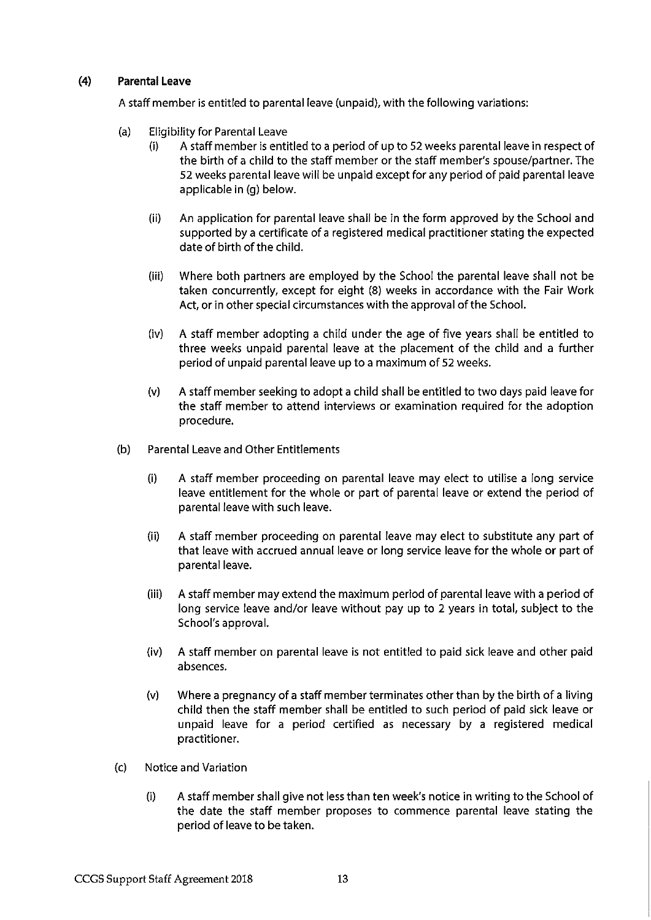#### $(4)$ **Parental Leave**

A staff member is entitled to parental leave (unpaid), with the following variations:

- **Eligibility for Parental Leave**  $(a)$ 
	- A staff member is entitled to a period of up to 52 weeks parental leave in respect of  $(i)$ the birth of a child to the staff member or the staff member's spouse/partner. The 52 weeks parental leave will be unpaid except for any period of paid parental leave applicable in (q) below.
	- $(ii)$ An application for parental leave shall be in the form approved by the School and supported by a certificate of a registered medical practitioner stating the expected date of birth of the child.
	- $(iii)$ Where both partners are employed by the School the parental leave shall not be taken concurrently, except for eight (8) weeks in accordance with the Fair Work Act, or in other special circumstances with the approval of the School.
	- A staff member adopting a child under the age of five years shall be entitled to  $(iv)$ three weeks unpaid parental leave at the placement of the child and a further period of unpaid parental leave up to a maximum of 52 weeks.
	- $(v)$ A staff member seeking to adopt a child shall be entitled to two days paid leave for the staff member to attend interviews or examination required for the adoption procedure.
- Parental Leave and Other Entitlements  $(b)$ 
	- $(i)$ A staff member proceeding on parental leave may elect to utilise a long service leave entitlement for the whole or part of parental leave or extend the period of parental leave with such leave.
	- $(ii)$ A staff member proceeding on parental leave may elect to substitute any part of that leave with accrued annual leave or long service leave for the whole or part of parental leave.
	- $(iii)$ A staff member may extend the maximum period of parental leave with a period of long service leave and/or leave without pay up to 2 years in total, subject to the School's approval.
	- $(iv)$ A staff member on parental leave is not entitled to paid sick leave and other paid absences.
	- Where a pregnancy of a staff member terminates other than by the birth of a living  $(v)$ child then the staff member shall be entitled to such period of paid sick leave or unpaid leave for a period certified as necessary by a registered medical practitioner.
- Notice and Variation  $(c)$ 
	- A staff member shall give not less than ten week's notice in writing to the School of  $(i)$ the date the staff member proposes to commence parental leave stating the period of leave to be taken.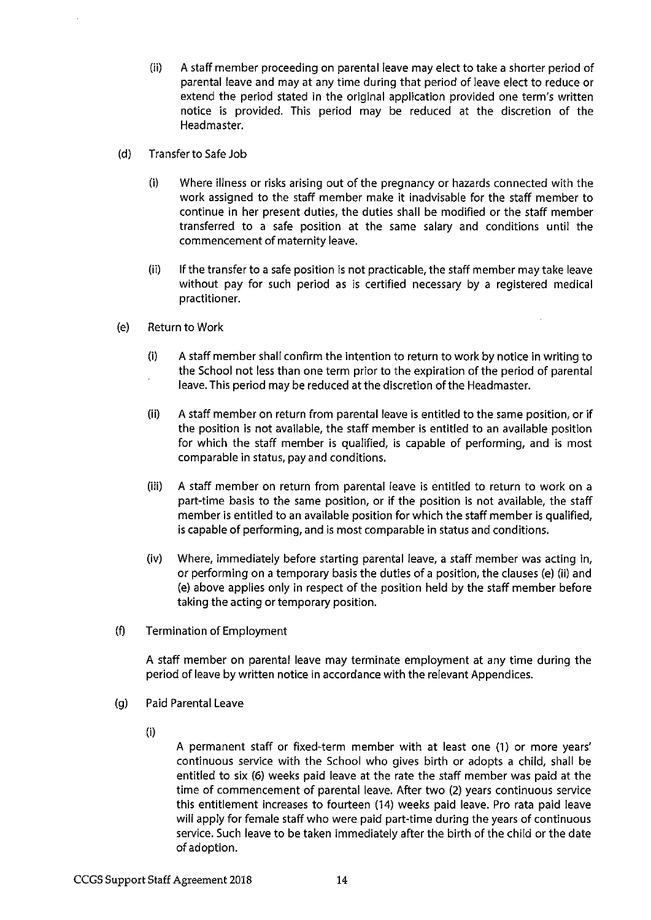- $(ii)$ A staff member proceeding on parental leave may elect to take a shorter period of parental leave and may at any time during that period of leave elect to reduce or extend the period stated in the original application provided one term's written notice is provided. This period may be reduced at the discretion of the Headmaster.
- $(d)$ Transfer to Safe Job
	- $(i)$ Where illness or risks arising out of the pregnancy or hazards connected with the work assigned to the staff member make it inadvisable for the staff member to continue in her present duties, the duties shall be modified or the staff member transferred to a safe position at the same salary and conditions until the commencement of maternity leave.
	- $(ii)$ If the transfer to a safe position is not practicable, the staff member may take leave without pay for such period as is certified necessary by a registered medical practitioner.
- **Return to Work**  $(e)$ 
	- $(i)$ A staff member shall confirm the intention to return to work by notice in writing to the School not less than one term prior to the expiration of the period of parental leave. This period may be reduced at the discretion of the Headmaster.
	- $(ii)$ A staff member on return from parental leave is entitled to the same position, or if the position is not available, the staff member is entitled to an available position for which the staff member is qualified, is capable of performing, and is most comparable in status, pay and conditions.
	- $(iii)$ A staff member on return from parental leave is entitled to return to work on a part-time basis to the same position, or if the position is not available, the staff member is entitled to an available position for which the staff member is qualified, is capable of performing, and is most comparable in status and conditions.
	- $(iv)$ Where, immediately before starting parental leave, a staff member was acting in, or performing on a temporary basis the duties of a position, the clauses (e) (ii) and (e) above applies only in respect of the position held by the staff member before taking the acting or temporary position.
- $(f)$ **Termination of Employment**

A staff member on parental leave may terminate employment at any time during the period of leave by written notice in accordance with the relevant Appendices.

- $(q)$ **Paid Parental Leave** 
	- $(i)$

A permanent staff or fixed-term member with at least one (1) or more years' continuous service with the School who gives birth or adopts a child, shall be entitled to six (6) weeks paid leave at the rate the staff member was paid at the time of commencement of parental leave. After two (2) years continuous service this entitlement increases to fourteen (14) weeks paid leave. Pro rata paid leave will apply for female staff who were paid part-time during the years of continuous service. Such leave to be taken immediately after the birth of the child or the date of adoption.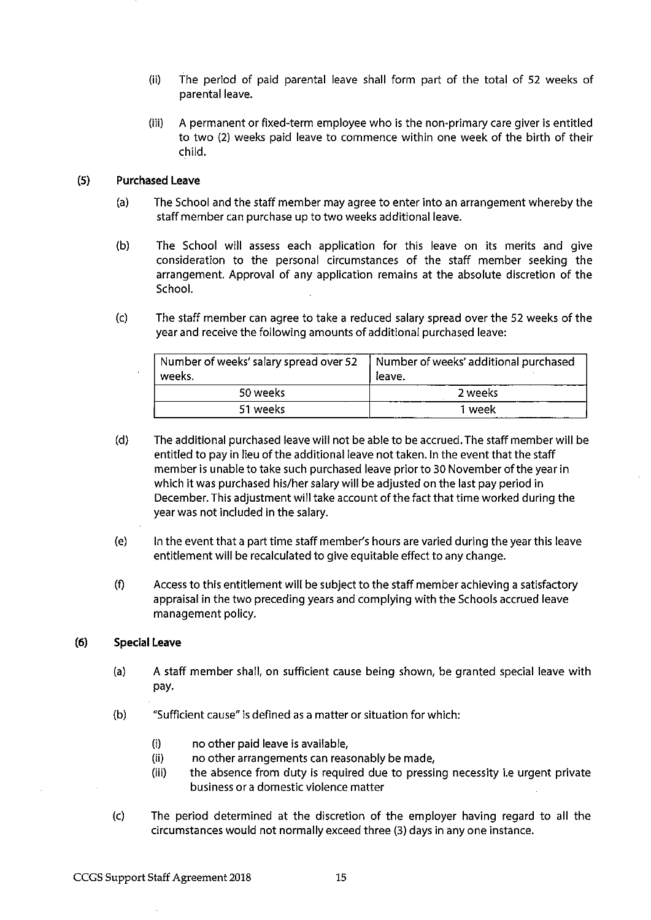- $(ii)$ The period of paid parental leave shall form part of the total of 52 weeks of parental leave.
- $(iii)$ A permanent or fixed-term employee who is the non-primary care giver is entitled to two (2) weeks paid leave to commence within one week of the birth of their child.

#### $(5)$ **Purchased Leave**

- The School and the staff member may agree to enter into an arrangement whereby the  $(a)$ staff member can purchase up to two weeks additional leave.
- $(b)$ The School will assess each application for this leave on its merits and give consideration to the personal circumstances of the staff member seeking the arrangement. Approval of any application remains at the absolute discretion of the School.
- The staff member can agree to take a reduced salary spread over the 52 weeks of the  $(c)$ year and receive the following amounts of additional purchased leave:

| Number of weeks' salary spread over 52<br>weeks. | Number of weeks' additional purchased<br>leave. |  |
|--------------------------------------------------|-------------------------------------------------|--|
| 50 weeks                                         | 2 weeks                                         |  |
| 51 weeks                                         | 1 week                                          |  |

- $(d)$ The additional purchased leave will not be able to be accrued. The staff member will be entitled to pay in lieu of the additional leave not taken. In the event that the staff member is unable to take such purchased leave prior to 30 November of the year in which it was purchased his/her salary will be adjusted on the last pay period in December. This adjustment will take account of the fact that time worked during the year was not included in the salary.
- $(e)$ In the event that a part time staff member's hours are varied during the year this leave entitlement will be recalculated to give equitable effect to any change.
- $(f)$ Access to this entitlement will be subject to the staff member achieving a satisfactory appraisal in the two preceding years and complying with the Schools accrued leave management policy.

#### $(6)$ **Special Leave**

- $(a)$ A staff member shall, on sufficient cause being shown, be granted special leave with pay.
- "Sufficient cause" is defined as a matter or situation for which:  $(b)$ 
	- $(i)$ no other paid leave is available,
	- $(ii)$ no other arrangements can reasonably be made,
	- the absence from duty is required due to pressing necessity i.e urgent private  $(iii)$ business or a domestic violence matter
- $(c)$ The period determined at the discretion of the employer having regard to all the circumstances would not normally exceed three (3) days in any one instance.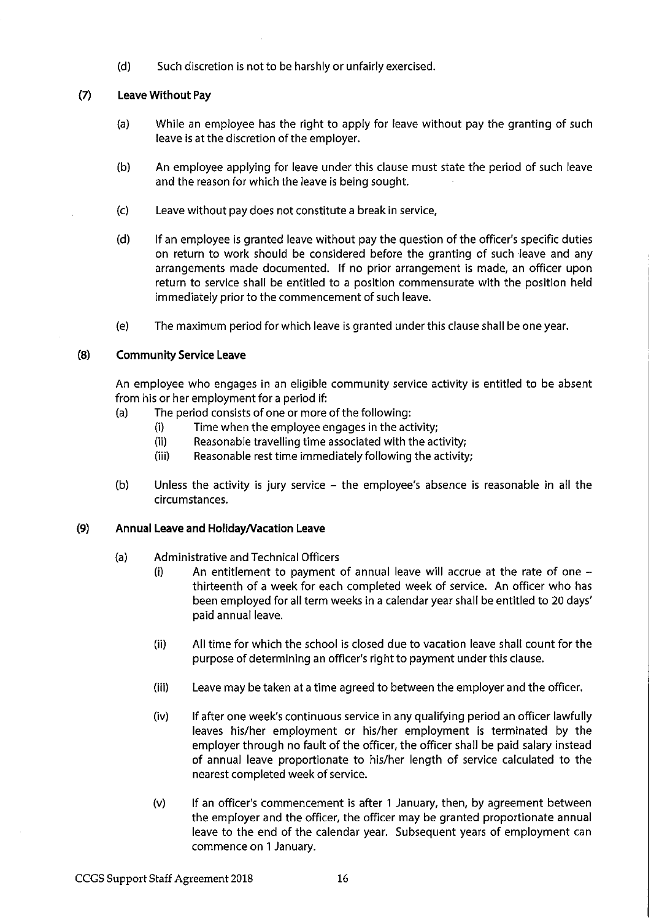$(d)$ Such discretion is not to be harshly or unfairly exercised.

#### $(7)$ Leave Without Pay

- While an employee has the right to apply for leave without pay the granting of such  $(a)$ leave is at the discretion of the employer.
- $(b)$ An employee applying for leave under this clause must state the period of such leave and the reason for which the leave is being sought.
- $(c)$ Leave without pay does not constitute a break in service,
- $(d)$ If an employee is granted leave without pay the question of the officer's specific duties on return to work should be considered before the granting of such leave and any arrangements made documented. If no prior arrangement is made, an officer upon return to service shall be entitled to a position commensurate with the position held immediately prior to the commencement of such leave.
- $(e)$ The maximum period for which leave is granted under this clause shall be one year.

#### $(8)$ **Community Service Leave**

An employee who engages in an eligible community service activity is entitled to be absent from his or her employment for a period if:

- The period consists of one or more of the following:  $(a)$ 
	- Time when the employee engages in the activity;  $(i)$
	- $(ii)$ Reasonable travelling time associated with the activity;
	- Reasonable rest time immediately following the activity;  $(iii)$
- Unless the activity is jury service the employee's absence is reasonable in all the  $(b)$ circumstances.

#### $(9)$ Annual Leave and Holiday/Vacation Leave

- $(a)$ Administrative and Technical Officers
	- An entitlement to payment of annual leave will accrue at the rate of one - $(i)$ thirteenth of a week for each completed week of service. An officer who has been employed for all term weeks in a calendar year shall be entitled to 20 days' paid annual leave.
	- All time for which the school is closed due to vacation leave shall count for the  $(ii)$ purpose of determining an officer's right to payment under this clause.
	- $(iii)$ Leave may be taken at a time agreed to between the employer and the officer.
	- $(iv)$ If after one week's continuous service in any qualifying period an officer lawfully leaves his/her employment or his/her employment is terminated by the employer through no fault of the officer, the officer shall be paid salary instead of annual leave proportionate to his/her length of service calculated to the nearest completed week of service.
	- $(v)$ If an officer's commencement is after 1 January, then, by agreement between the employer and the officer, the officer may be granted proportionate annual leave to the end of the calendar year. Subsequent years of employment can commence on 1 January.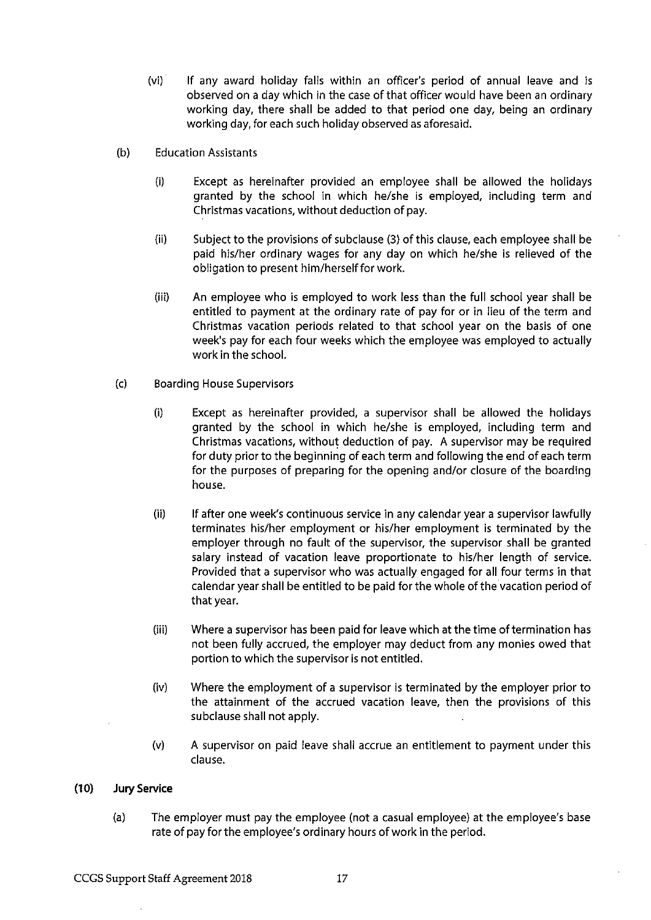- $(vi)$ If any award holiday falls within an officer's period of annual leave and is observed on a day which in the case of that officer would have been an ordinary working day, there shall be added to that period one day, being an ordinary working day, for each such holiday observed as aforesaid.
- $(b)$ **Education Assistants** 
	- $(i)$ Except as hereinafter provided an employee shall be allowed the holidays granted by the school in which he/she is employed, including term and Christmas vacations, without deduction of pay.
	- $(ii)$ Subject to the provisions of subclause (3) of this clause, each employee shall be paid his/her ordinary wages for any day on which he/she is relieved of the obligation to present him/herself for work.
	- $(iii)$ An employee who is employed to work less than the full school year shall be entitled to payment at the ordinary rate of pay for or in lieu of the term and Christmas vacation periods related to that school year on the basis of one week's pay for each four weeks which the employee was employed to actually work in the school.
- $(c)$ **Boarding House Supervisors** 
	- $(i)$ Except as hereinafter provided, a supervisor shall be allowed the holidays granted by the school in which he/she is employed, including term and Christmas vacations, without deduction of pay. A supervisor may be required for duty prior to the beginning of each term and following the end of each term for the purposes of preparing for the opening and/or closure of the boarding house.
	- $(ii)$ If after one week's continuous service in any calendar year a supervisor lawfully terminates his/her employment or his/her employment is terminated by the employer through no fault of the supervisor, the supervisor shall be granted salary instead of vacation leave proportionate to his/her length of service. Provided that a supervisor who was actually engaged for all four terms in that calendar year shall be entitled to be paid for the whole of the vacation period of that year.
	- $(iii)$ Where a supervisor has been paid for leave which at the time of termination has not been fully accrued, the employer may deduct from any monies owed that portion to which the supervisor is not entitled.
	- $(iv)$ Where the employment of a supervisor is terminated by the employer prior to the attainment of the accrued vacation leave, then the provisions of this subclause shall not apply.
	- $(v)$ A supervisor on paid leave shall accrue an entitlement to payment under this clause.

#### $(10)$ **Jury Service**

 $(a)$ The employer must pay the employee (not a casual employee) at the employee's base rate of pay for the employee's ordinary hours of work in the period.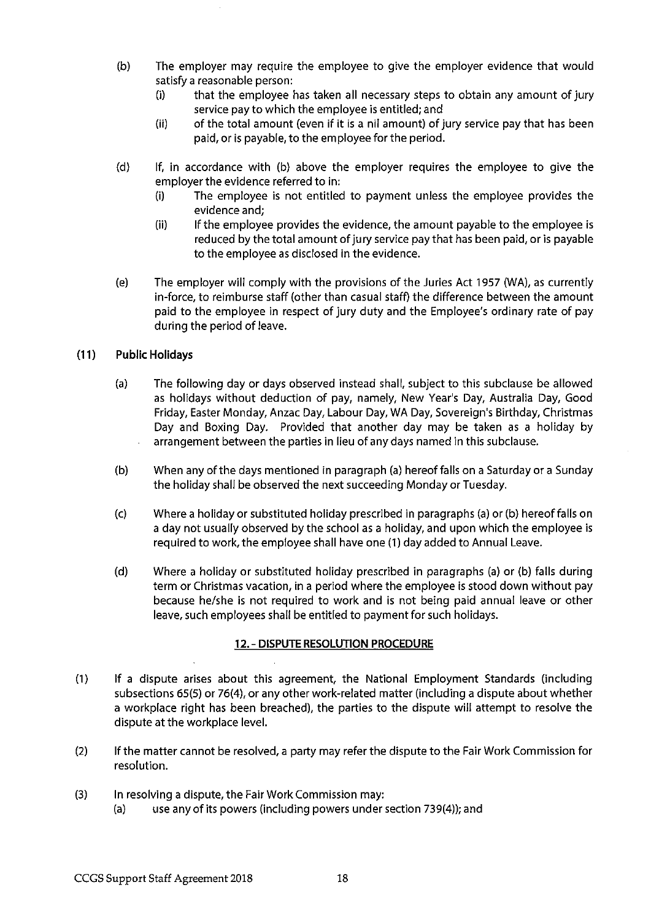- $(b)$ The employer may require the employee to give the employer evidence that would satisfy a reasonable person:
	- that the employee has taken all necessary steps to obtain any amount of jury  $(i)$ service pay to which the employee is entitled; and
	- of the total amount (even if it is a nil amount) of jury service pay that has been  $(ii)$ paid, or is payable, to the employee for the period.
- $(d)$ If, in accordance with (b) above the employer requires the employee to give the employer the evidence referred to in:
	- The employee is not entitled to payment unless the employee provides the  $(i)$ evidence and;
	- $(i)$ If the employee provides the evidence, the amount payable to the employee is reduced by the total amount of jury service pay that has been paid, or is payable to the employee as disclosed in the evidence.
- $(e)$ The employer will comply with the provisions of the Juries Act 1957 (WA), as currently in-force, to reimburse staff (other than casual staff) the difference between the amount paid to the employee in respect of jury duty and the Employee's ordinary rate of pay during the period of leave.

#### $(11)$ **Public Holidays**

- The following day or days observed instead shall, subject to this subclause be allowed  $(a)$ as holidays without deduction of pay, namely, New Year's Day, Australia Day, Good Friday, Easter Monday, Anzac Day, Labour Day, WA Day, Sovereign's Birthday, Christmas Day and Boxing Day. Provided that another day may be taken as a holiday by arrangement between the parties in lieu of any days named in this subclause.
- $(b)$ When any of the days mentioned in paragraph (a) hereof falls on a Saturday or a Sunday the holiday shall be observed the next succeeding Monday or Tuesday.
- Where a holiday or substituted holiday prescribed in paragraphs (a) or (b) hereof falls on  $(c)$ a day not usually observed by the school as a holiday, and upon which the employee is required to work, the employee shall have one (1) day added to Annual Leave.
- $(d)$ Where a holiday or substituted holiday prescribed in paragraphs (a) or (b) falls during term or Christmas vacation, in a period where the employee is stood down without pay because he/she is not required to work and is not being paid annual leave or other leave, such employees shall be entitled to payment for such holidays.

### 12. - DISPUTE RESOLUTION PROCEDURE

- $(1)$ If a dispute arises about this agreement, the National Employment Standards (including subsections 65(5) or 76(4), or any other work-related matter (including a dispute about whether a workplace right has been breached), the parties to the dispute will attempt to resolve the dispute at the workplace level.
- $(2)$ If the matter cannot be resolved, a party may refer the dispute to the Fair Work Commission for resolution.
- $(3)$ In resolving a dispute, the Fair Work Commission may:
	- use any of its powers (including powers under section 739(4)); and  $(a)$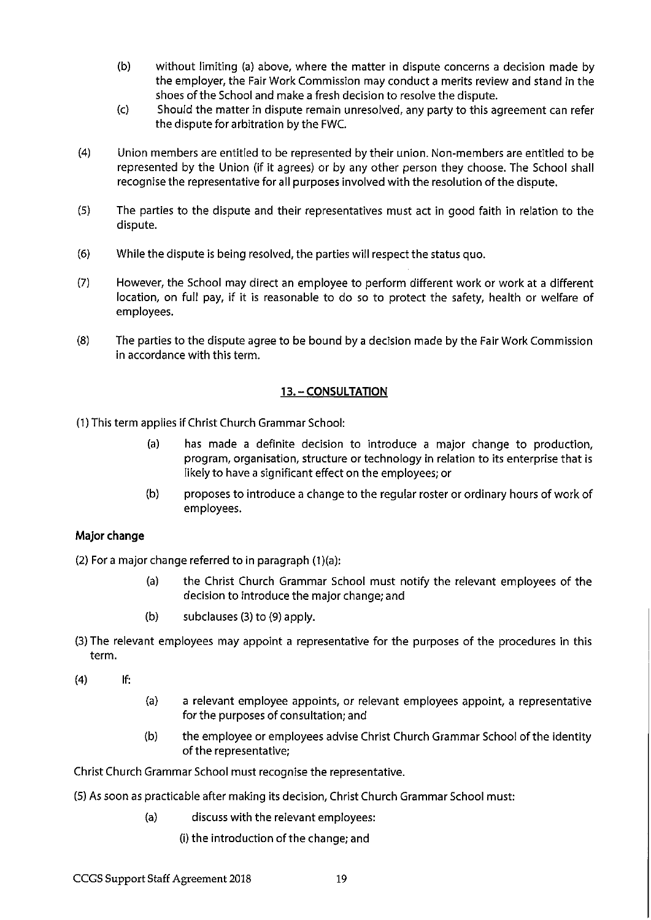- $(b)$ without limiting (a) above, where the matter in dispute concerns a decision made by the employer, the Fair Work Commission may conduct a merits review and stand in the shoes of the School and make a fresh decision to resolve the dispute.
- $(c)$ Should the matter in dispute remain unresolved, any party to this agreement can refer the dispute for arbitration by the FWC.
- $(4)$ Union members are entitled to be represented by their union. Non-members are entitled to be represented by the Union (if it agrees) or by any other person they choose. The School shall recognise the representative for all purposes involved with the resolution of the dispute.
- $(5)$ The parties to the dispute and their representatives must act in good faith in relation to the dispute.
- $(6)$ While the dispute is being resolved, the parties will respect the status quo.
- $(7)$ However, the School may direct an employee to perform different work or work at a different location, on full pay, if it is reasonable to do so to protect the safety, health or welfare of employees.
- $(8)$ The parties to the dispute agree to be bound by a decision made by the Fair Work Commission in accordance with this term.

### 13. - CONSULTATION

- (1) This term applies if Christ Church Grammar School:
	- $(a)$ has made a definite decision to introduce a major change to production, program, organisation, structure or technology in relation to its enterprise that is likely to have a significant effect on the employees; or
	- $(b)$ proposes to introduce a change to the regular roster or ordinary hours of work of employees.

### Major change

(2) For a major change referred to in paragraph (1)(a):

- the Christ Church Grammar School must notify the relevant employees of the  $(a)$ decision to introduce the major change; and
- $(b)$ subclauses (3) to (9) apply.
- (3) The relevant employees may appoint a representative for the purposes of the procedures in this term.

If:  $(4)$ 

- $(a)$ a relevant employee appoints, or relevant employees appoint, a representative for the purposes of consultation; and
- $(b)$ the employee or employees advise Christ Church Grammar School of the identity of the representative;

Christ Church Grammar School must recognise the representative.

- (5) As soon as practicable after making its decision, Christ Church Grammar School must:
	- $(a)$ discuss with the relevant employees:
		- (i) the introduction of the change; and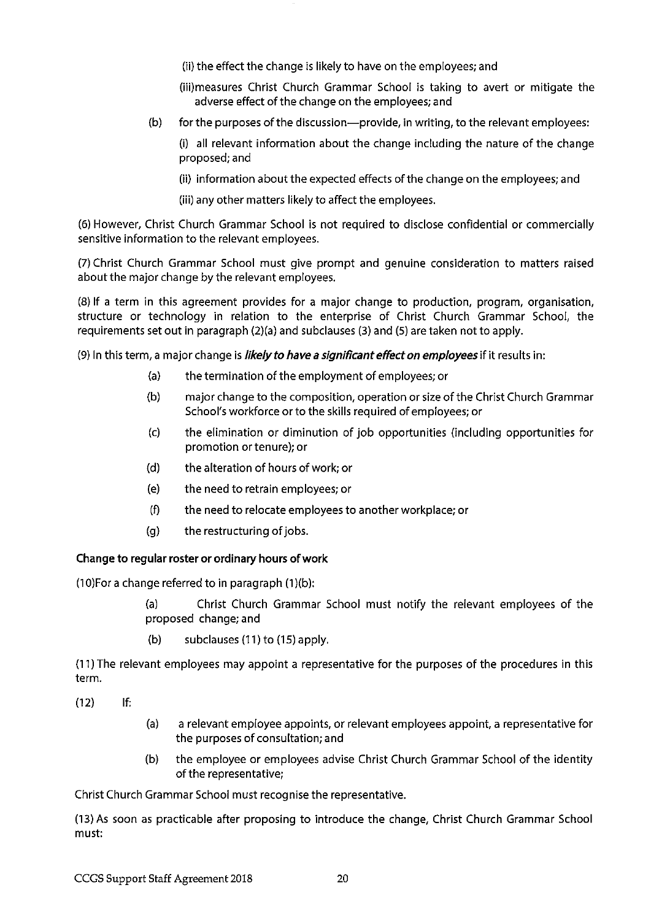(ii) the effect the change is likely to have on the employees; and

(iii)measures Christ Church Grammar School is taking to avert or mitigate the adverse effect of the change on the employees; and

- for the purposes of the discussion-provide, in writing, to the relevant employees:  $(b)$ 
	- (i) all relevant information about the change including the nature of the change proposed; and
	- (ii) information about the expected effects of the change on the employees; and
	- (iii) any other matters likely to affect the employees.

(6) However, Christ Church Grammar School is not required to disclose confidential or commercially sensitive information to the relevant employees.

(7) Christ Church Grammar School must give prompt and genuine consideration to matters raised about the major change by the relevant employees.

(8) If a term in this agreement provides for a major change to production, program, organisation, structure or technology in relation to the enterprise of Christ Church Grammar School, the requirements set out in paragraph (2)(a) and subclauses (3) and (5) are taken not to apply.

(9) In this term, a major change is *likely to have a significant effect on employees* if it results in:

- $(a)$ the termination of the employment of employees; or
- major change to the composition, operation or size of the Christ Church Grammar  $(b)$ School's workforce or to the skills required of employees; or
- the elimination or diminution of job opportunities (including opportunities for  $(c)$ promotion or tenure); or
- $(d)$ the alteration of hours of work; or
- the need to retrain employees; or  $(e)$
- $(f)$ the need to relocate employees to another workplace; or
- $(a)$ the restructuring of jobs.

### Change to regular roster or ordinary hours of work

(10) For a change referred to in paragraph (1)(b):

Christ Church Grammar School must notify the relevant employees of the  $(a)$ proposed change; and

 $(b)$ subclauses (11) to (15) apply.

(11) The relevant employees may appoint a representative for the purposes of the procedures in this term.

If:  $(12)$ 

- $(a)$ a relevant employee appoints, or relevant employees appoint, a representative for the purposes of consultation; and
- $(b)$ the employee or employees advise Christ Church Grammar School of the identity of the representative;

Christ Church Grammar School must recognise the representative.

(13) As soon as practicable after proposing to introduce the change, Christ Church Grammar School must: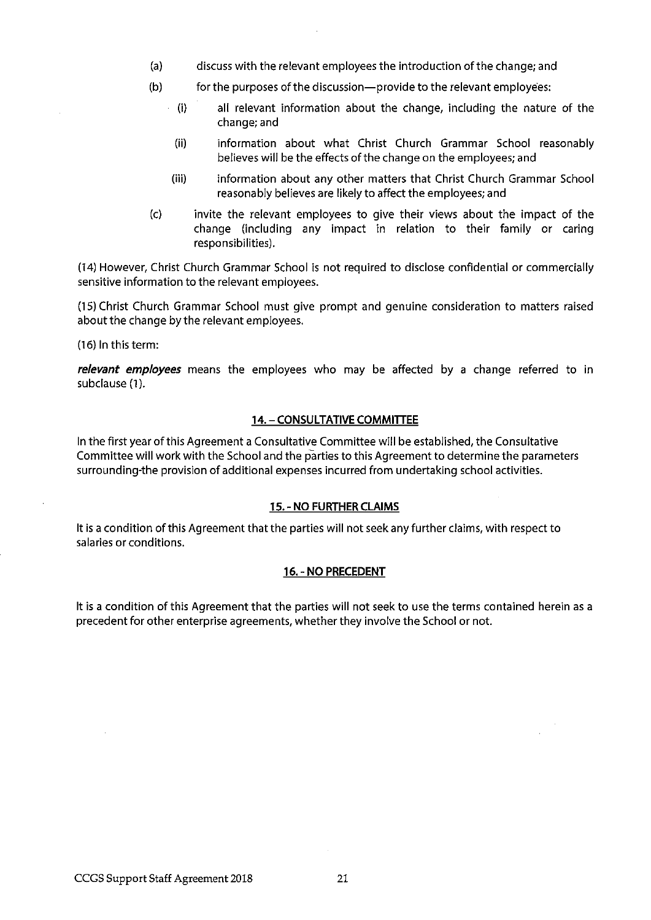- $(a)$ discuss with the relevant employees the introduction of the change; and
- $(b)$ for the purposes of the discussion-provide to the relevant employees:
	- $(i)$ all relevant information about the change, including the nature of the change; and
	- information about what Christ Church Grammar School reasonably  $(ii)$ believes will be the effects of the change on the employees; and
	- $(iii)$ information about any other matters that Christ Church Grammar School reasonably believes are likely to affect the employees; and
- $(c)$ invite the relevant employees to give their views about the impact of the change (including any impact in relation to their family or caring responsibilities).

(14) However, Christ Church Grammar School is not required to disclose confidential or commercially sensitive information to the relevant employees.

(15) Christ Church Grammar School must give prompt and genuine consideration to matters raised about the change by the relevant employees.

(16) In this term:

relevant employees means the employees who may be affected by a change referred to in subclause (1).

### **14. - CONSULTATIVE COMMITTEE**

In the first year of this Agreement a Consultative Committee will be established, the Consultative Committee will work with the School and the parties to this Agreement to determine the parameters surrounding-the provision of additional expenses incurred from undertaking school activities.

### 15. - NO FURTHER CLAIMS

It is a condition of this Agreement that the parties will not seek any further claims, with respect to salaries or conditions.

### 16. - NO PRECEDENT

It is a condition of this Agreement that the parties will not seek to use the terms contained herein as a precedent for other enterprise agreements, whether they involve the School or not.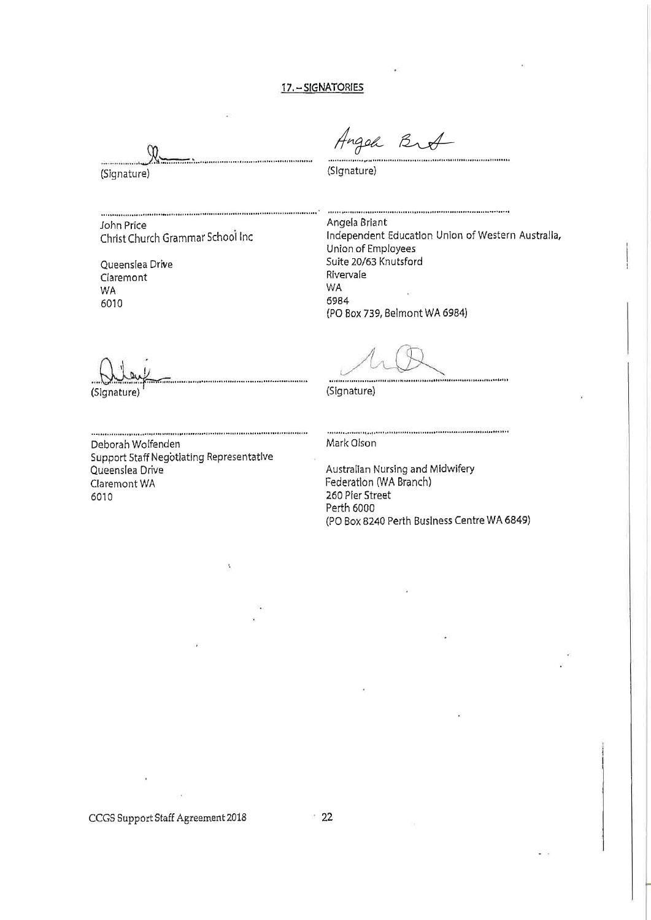### 17. - SIGNATORIES

. . . . . . . . . . . . . . . .

(Signature)

John Price Christ Church Grammar School Inc

Queenslea Drive Claremont WA 6010

Angel Brot 

(Signature)

.<br>1979 (in the first particular term of the first particular term of the first of the first of the first of the Angela Briant Independent Education Union of Western Australia, Union of Employees Suite 20/63 Knutsford Rivervale WA 6984 (PO Box 739, Belmont WA 6984)

(Signature)

(Signature)

Deborah Wolfenden Support Staff Negotiating Representative Queenslea Drive Claremont WA 6010

Mark Olson

Australian Nursing and Midwifery<br>Federation (WA Branch) 260 Pier Street Perth 6000 (PO Box 8240 Perth Business Centre WA 6849)

CCGS Support Staff Agreement 2018